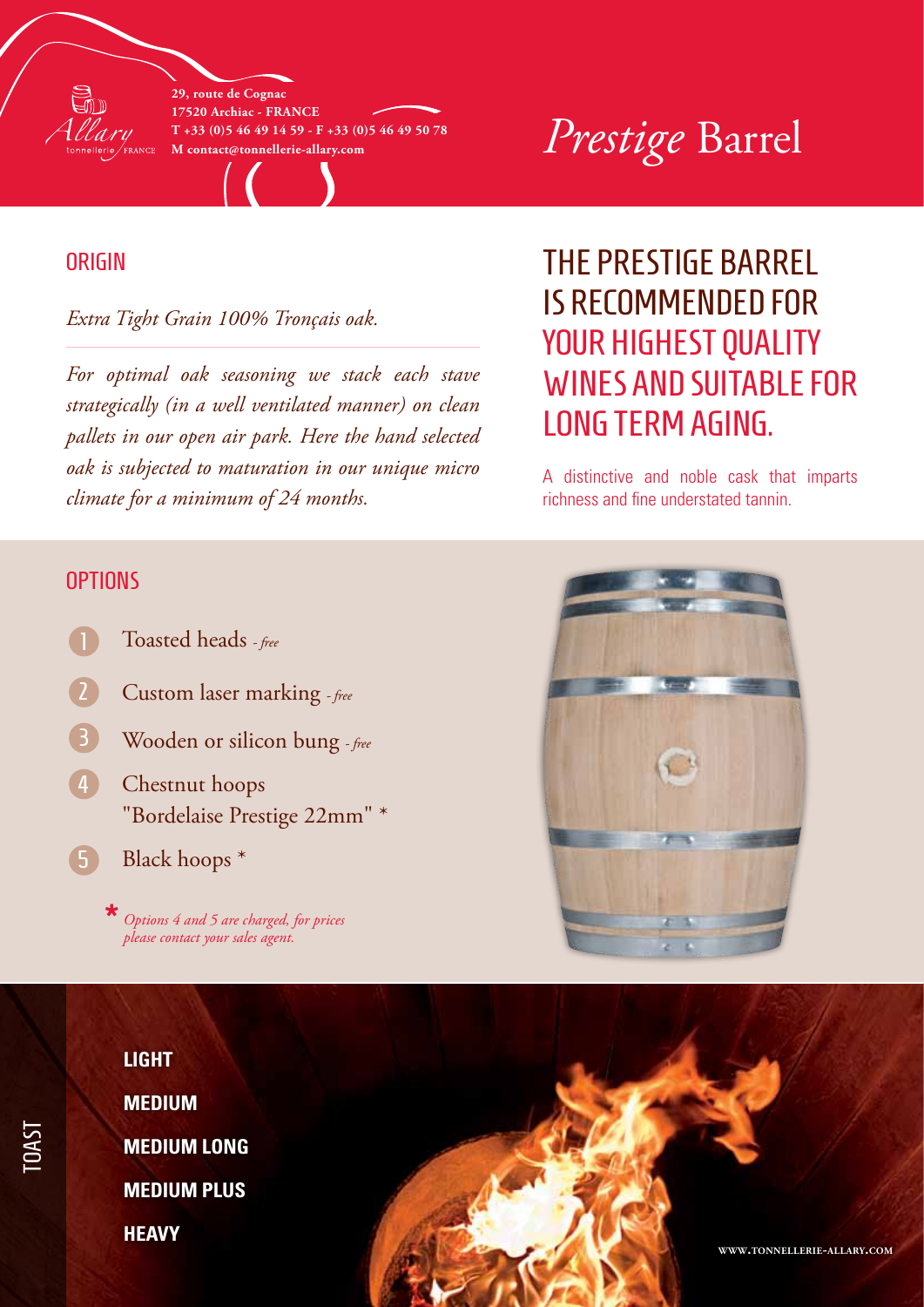

**29, route de Cognac 17520 Archiac - France T +33 (0)5 46 49 14 59 - F +33 (0)5 46 49 50 78**

# $\mathcal{V}^{\scriptscriptstyle\text{I}\scriptscriptstyle+33\,\hspace{-0.03cm}(0)5\,\hspace{-0.03cm}46\,\hspace{-0.03cm}49\,\hspace{-0.03cm}14\,\hspace{-0.03cm}59$  - F +33 (0)5 46 49 50 78  $\mathcal{V}$   $\mathcal{P} \scriptstyle\text{rest}$   $\mathcal{P} \scriptstyle\text{rest}$   $\mathcal{D} \scriptstyle\text{rest}$   $\mathcal{D} \scriptstyle\text{rest}$

### **ORIGIN**

*Extra Tight Grain 100% Tronçais oak.*

*For optimal oak seasoning we stack each stave strategically (in a well ventilated manner) on clean pallets in our open air park. Here the hand selected oak is subjected to maturation in our unique micro climate for a minimum of 24 months.*

# THE PRESTIGE BARREL IS RECOMMENDED for YOUR HIGHEST QUALITY wines and suitable for LONG TERM AGING.

A distinctive and noble cask that imparts richness and fine understated tannin.

#### **OPTIONS**

- Toasted heads  *free*
- Custom laser marking  *free*
- Wooden or silicon bung  *free* 3
- Chestnut hoops "Bordelaise Prestige 22mm" \* 4
- Black hoops \* 5

*Options 4 and 5 are charged, for prices please contact your sales agent.* **\***





TOAST